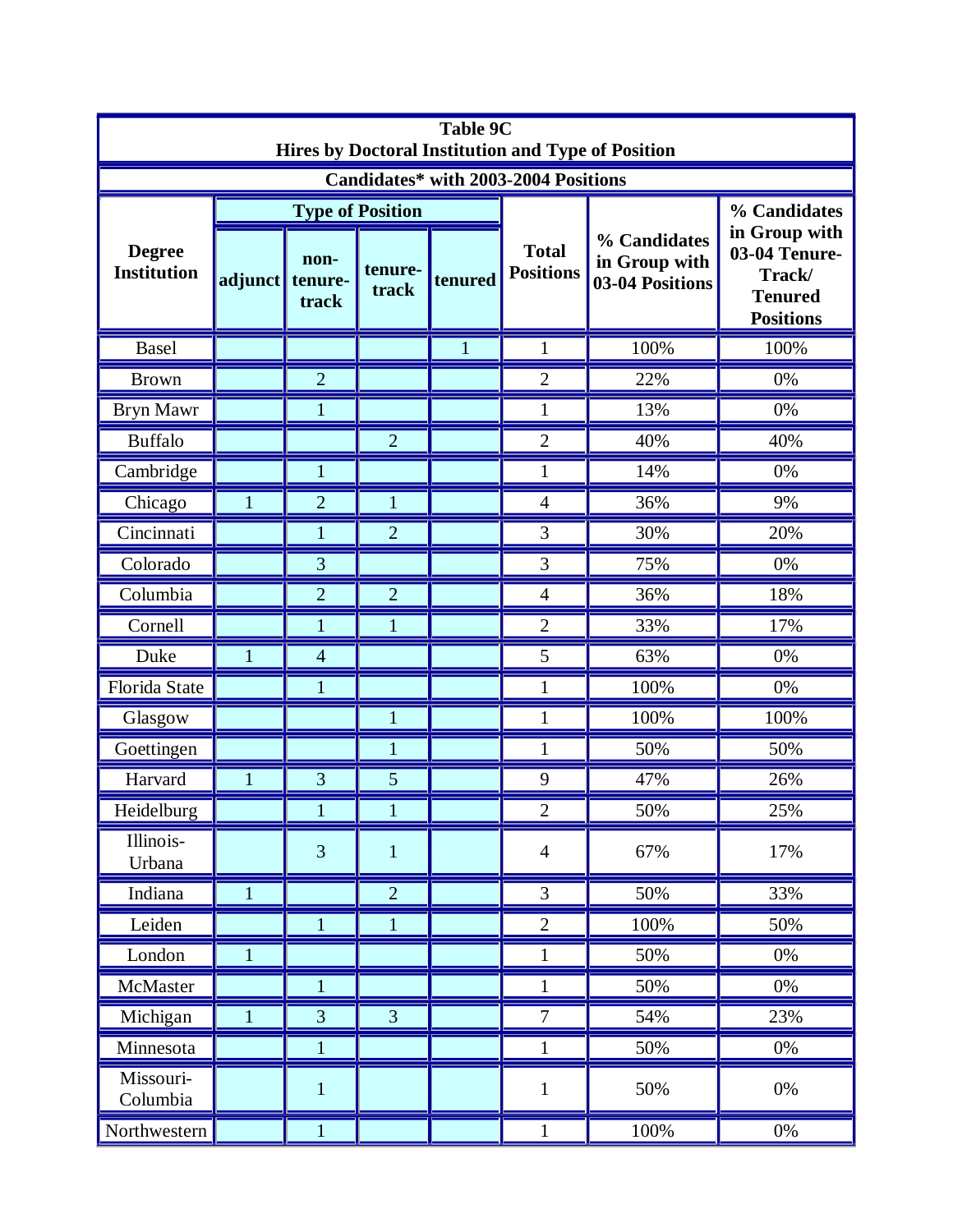| <b>Table 9C</b><br>Hires by Doctoral Institution and Type of Position |              |                          |                         |              |                                  |                                                  |                                                                                |  |  |  |
|-----------------------------------------------------------------------|--------------|--------------------------|-------------------------|--------------|----------------------------------|--------------------------------------------------|--------------------------------------------------------------------------------|--|--|--|
| Candidates* with 2003-2004 Positions                                  |              |                          |                         |              |                                  |                                                  |                                                                                |  |  |  |
| <b>Degree</b><br><b>Institution</b>                                   |              |                          | <b>Type of Position</b> |              |                                  |                                                  | % Candidates                                                                   |  |  |  |
|                                                                       | adjunct      | non-<br>tenure-<br>track | tenure-<br>track        | tenured      | <b>Total</b><br><b>Positions</b> | % Candidates<br>in Group with<br>03-04 Positions | in Group with<br>03-04 Tenure-<br>Track/<br><b>Tenured</b><br><b>Positions</b> |  |  |  |
| <b>Basel</b>                                                          |              |                          |                         | $\mathbf{1}$ | 1                                | 100%                                             | 100%                                                                           |  |  |  |
| <b>Brown</b>                                                          |              | $\overline{2}$           |                         |              | $\overline{2}$                   | 22%                                              | 0%                                                                             |  |  |  |
| <b>Bryn Mawr</b>                                                      |              | 1                        |                         |              | $\mathbf{1}$                     | 13%                                              | 0%                                                                             |  |  |  |
| <b>Buffalo</b>                                                        |              |                          | $\overline{2}$          |              | $\overline{2}$                   | 40%                                              | 40%                                                                            |  |  |  |
| Cambridge                                                             |              | $\mathbf{1}$             |                         |              | $\mathbf{1}$                     | 14%                                              | 0%                                                                             |  |  |  |
| Chicago                                                               | 1            | $\overline{2}$           | $\mathbf{1}$            |              | $\overline{4}$                   | 36%                                              | 9%                                                                             |  |  |  |
| Cincinnati                                                            |              | 1                        | $\overline{2}$          |              | 3                                | 30%                                              | 20%                                                                            |  |  |  |
| Colorado                                                              |              | 3                        |                         |              | 3                                | 75%                                              | 0%                                                                             |  |  |  |
| Columbia                                                              |              | $\overline{2}$           | $\overline{2}$          |              | $\overline{4}$                   | 36%                                              | 18%                                                                            |  |  |  |
| Cornell                                                               |              | 1                        | 1                       |              | $\overline{2}$                   | 33%                                              | 17%                                                                            |  |  |  |
| Duke                                                                  | 1            | $\overline{4}$           |                         |              | 5                                | 63%                                              | 0%                                                                             |  |  |  |
| Florida State                                                         |              | $\mathbf{1}$             |                         |              | $\mathbf{1}$                     | 100%                                             | 0%                                                                             |  |  |  |
| Glasgow                                                               |              |                          |                         |              | $\mathbf{1}$                     | 100%                                             | 100%                                                                           |  |  |  |
| Goettingen                                                            |              |                          |                         |              | 1                                | 50%                                              | 50%                                                                            |  |  |  |
| Harvard                                                               | 1            | 3                        | 5                       |              | 9                                | 47%                                              | 26%                                                                            |  |  |  |
| Heidelburg                                                            |              | $\mathbf{1}$             | $\mathbf{1}$            |              | $\mathbf{2}$                     | 50%                                              | 25%                                                                            |  |  |  |
| Illinois-<br>Urbana                                                   |              | $\overline{3}$           | $\mathbf{1}$            |              | $\overline{4}$                   | 67%                                              | 17%                                                                            |  |  |  |
| Indiana                                                               | $\mathbf{1}$ |                          | $\overline{2}$          |              | $\overline{3}$                   | 50%                                              | 33%                                                                            |  |  |  |
| Leiden                                                                |              | $\mathbf{1}$             | $\mathbf{1}$            |              | $\mathbf{2}$                     | 100%                                             | 50%                                                                            |  |  |  |
| London                                                                | $\mathbf{1}$ |                          |                         |              | $\mathbf{1}$                     | 50%                                              | 0%                                                                             |  |  |  |
| McMaster                                                              |              | $\mathbf{1}$             |                         |              | $\mathbf{1}$                     | 50%                                              | 0%                                                                             |  |  |  |
| Michigan                                                              | 1            | 3                        | 3                       |              | $\overline{7}$                   | 54%                                              | 23%                                                                            |  |  |  |
| Minnesota                                                             |              | 1                        |                         |              | $\mathbf{1}$                     | 50%                                              | $0\%$                                                                          |  |  |  |
| Missouri-<br>Columbia                                                 |              | $\mathbf{1}$             |                         |              | $\mathbf{1}$                     | 50%                                              | 0%                                                                             |  |  |  |
| Northwestern                                                          |              | $\mathbf{1}$             |                         |              | $\mathbf{1}$                     | 100%                                             | 0%                                                                             |  |  |  |